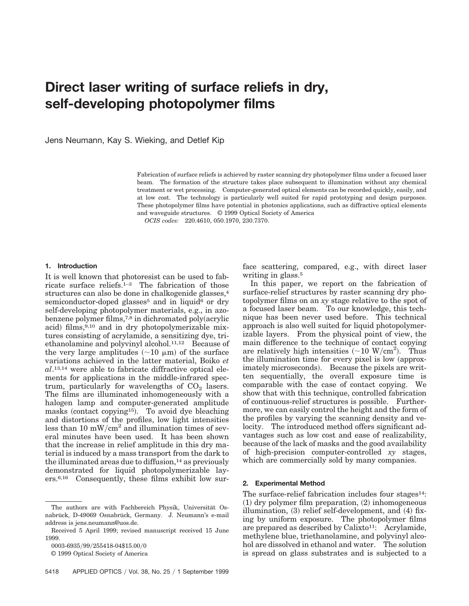# **Direct laser writing of surface reliefs in dry, self-developing photopolymer films**

Jens Neumann, Kay S. Wieking, and Detlef Kip

Fabrication of surface reliefs is achieved by raster scanning dry photopolymer films under a focused laser beam. The formation of the structure takes place subsequent to illumination without any chemical treatment or wet processing. Computer-generated optical elements can be recorded quickly, easily, and at low cost. The technology is particularly well suited for rapid prototyping and design purposes. These photopolymer films have potential in photonics applications, such as diffractive optical elements and waveguide structures. © 1999 Optical Society of America

*OCIS codes:* 220.4610, 050.1970, 230.7370.

## **1. Introduction**

It is well known that photoresist can be used to fabricate surface reliefs.1–3 The fabrication of those structures can also be done in chalkogenide glasses,<sup>4</sup> semiconductor-doped glasses<sup>5</sup> and in liquid $6$  or dry self-developing photopolymer materials, e.g., in azobenzene polymer films, $7,8$  in dichromated poly $\alpha$ crylic acid) films, $9,10$  and in dry photopolymerizable mixtures consisting of acrylamide, a sensitizing dye, triethanolamine and polyvinyl alcohol.11,12 Because of the very large amplitudes  $({\sim}10 \mu m)$  of the surface variations achieved in the latter material, Boiko *et al*.13,14 were able to fabricate diffractive optical elements for applications in the middle-infrared spectrum, particularly for wavelengths of  $CO<sub>2</sub>$  lasers. The films are illuminated inhomogeneously with a halogen lamp and computer-generated amplitude masks (contact copying<sup>15</sup>). To avoid dye bleaching and distortions of the profiles, low light intensities less than 10  $mW/cm<sup>2</sup>$  and illumination times of several minutes have been used. It has been shown that the increase in relief amplitude in this dry material is induced by a mass transport from the dark to the illuminated areas due to diffusion, $14$  as previously demonstrated for liquid photopolymerizable layers.6,16 Consequently, these films exhibit low surface scattering, compared, e.g., with direct laser writing in glass.<sup>5</sup>

In this paper, we report on the fabrication of surface-relief structures by raster scanning dry photopolymer films on an *xy* stage relative to the spot of a focused laser beam. To our knowledge, this technique has been never used before. This technical approach is also well suited for liquid photopolymerizable layers. From the physical point of view, the main difference to the technique of contact copying are relatively high intensities  $({\sim}10 \text{ W/cm}^2)$ . Thus the illumination time for every pixel is low (approximately microseconds). Because the pixels are written sequentially, the overall exposure time is comparable with the case of contact copying. We show that with this technique, controlled fabrication of continuous-relief structures is possible. Furthermore, we can easily control the height and the form of the profiles by varying the scanning density and velocity. The introduced method offers significant advantages such as low cost and ease of realizability, because of the lack of masks and the good availability of high-precision computer-controlled *xy* stages, which are commercially sold by many companies.

# **2. Experimental Method**

The surface-relief fabrication includes four stages<sup>14</sup>:  $(1)$  dry polymer film preparation,  $(2)$  inhomogeneous illumination,  $(3)$  relief self-development, and  $(4)$  fixing by uniform exposure. The photopolymer films are prepared as described by Calixto<sup>11</sup>: Acrylamide, methylene blue, triethanolamine, and polyvinyl alcohol are dissolved in ethanol and water. The solution is spread on glass substrates and is subjected to a

The authors are with Fachbereich Physik, Universität Osnabrück, D-49069 Osnabrück, Germany. J. Neumann's e-mail address is jens.neumann@uos.de.

Received 5 April 1999; revised manuscript received 15 June 1999.

<sup>0003-6935/99/255418-04\$15.00/0</sup> 

<sup>© 1999</sup> Optical Society of America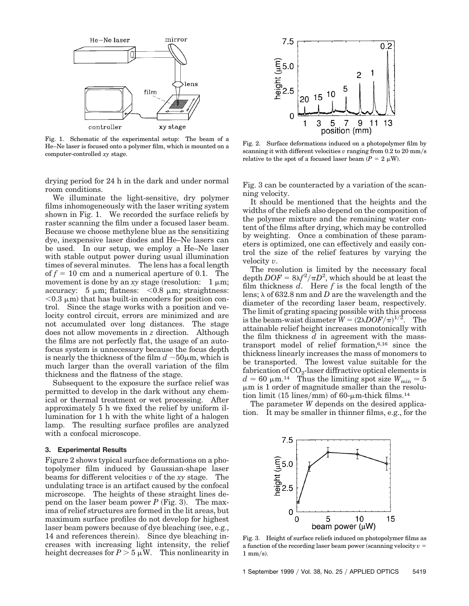

Fig. 1. Schematic of the experimental setup: The beam of a He–Ne laser is focused onto a polymer film, which is mounted on a computer-controlled *xy* stage.

drying period for 24 h in the dark and under normal room conditions.

We illuminate the light-sensitive, dry polymer films inhomogeneously with the laser writing system shown in Fig. 1. We recorded the surface reliefs by raster scanning the film under a focused laser beam. Because we choose methylene blue as the sensitizing dye, inexpensive laser diodes and He–Ne lasers can be used. In our setup, we employ a He–Ne laser with stable output power during usual illumination times of several minutes. The lens has a focal length of  $f = 10$  cm and a numerical aperture of 0.1. The movement is done by an *xy* stage (resolution:  $1 \mu m$ ; accuracy:  $5 \mu m$ ; flatness:  $\langle 0.8 \mu m$ ; straightness:  $< 0.3 \mu$ m) that has built-in encoders for position control. Since the stage works with a position and velocity control circuit, errors are minimized and are not accumulated over long distances. The stage does not allow movements in *z* direction. Although the films are not perfectly flat, the usage of an autofocus system is unnecessary because the focus depth is nearly the thickness of the film  $d \sim 50 \mu$ m, which is much larger than the overall variation of the film thickness and the flatness of the stage.

Subsequent to the exposure the surface relief was permitted to develop in the dark without any chemical or thermal treatment or wet processing. After approximately 5 h we fixed the relief by uniform illumination for 1 h with the white light of a halogen lamp. The resulting surface profiles are analyzed with a confocal microscope.

#### **3. Experimental Results**

Figure 2 shows typical surface deformations on a photopolymer film induced by Gaussian-shape laser beams for different velocities *v* of the *xy* stage. The undulating trace is an artifact caused by the confocal microscope. The heights of these straight lines depend on the laser beam power  $P$  (Fig. 3). The maxima of relief structures are formed in the lit areas, but maximum surface profiles do not develop for highest laser beam powers because of dye bleaching (see, e.g., 14 and references therein). Since dye bleaching increases with increasing light intensity, the relief height decreases for  $P > 5 \mu W$ . This nonlinearity in



Fig. 2. Surface deformations induced on a photopolymer film by scanning it with different velocities  $v$  ranging from  $0.2$  to  $20 \text{ mm/s}$ relative to the spot of a focused laser beam  $(P = 2 \mu W)$ .

Fig. 3 can be counteracted by a variation of the scanning velocity.

It should be mentioned that the heights and the widths of the reliefs also depend on the composition of the polymer mixture and the remaining water content of the films after drying, which may be controlled by weighting. Once a combination of these parameters is optimized, one can effectively and easily control the size of the relief features by varying the velocity *v*.

The resolution is limited by the necessary focal depth  $DOF = 8\lambda f^2/\pi D^2$ , which should be at least the film thickness *d*. Here *f* is the focal length of the lens;  $\lambda$  of 632.8 nm and *D* are the wavelength and the diameter of the recording laser beam, respectively. The limit of grating spacing possible with this process is the beam-waist diameter  $W = (2\lambda DOF/\pi)^{1/2}$ . The attainable relief height increases monotonically with the film thickness *d* in agreement with the masstransport model of relief formation,6,16 since the thickness linearly increases the mass of monomers to be transported. The lowest value suitable for the fabrication of  $CO<sub>2</sub>$ -laser diffractive optical elements is  $d \approx 60 \text{ }\mu\text{m}.^{14}$  Thus the limiting spot size  $W_{\text{min}} \approx 5$  $\mu$ m is 1 order of magnitude smaller than the resolution limit (15 lines/mm) of 60- $\mu$ m-thick films.<sup>14</sup>

The parameter *W* depends on the desired application. It may be smaller in thinner films, e.g., for the



Fig. 3. Height of surface reliefs induced on photopolymer films as a function of the recording laser beam power (scanning velocity  $v =$  $1 \text{ mm/s}$ .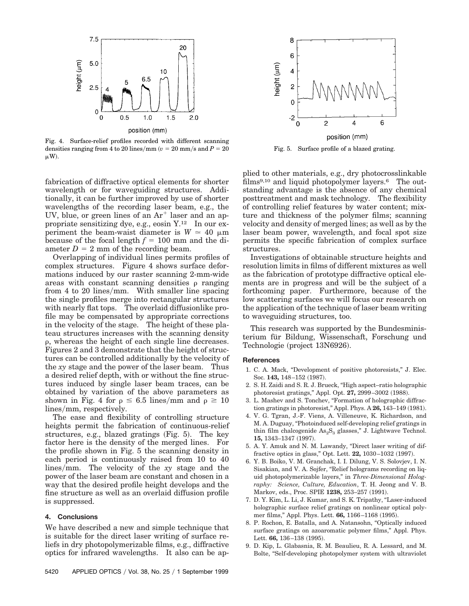

Fig. 4. Surface-relief profiles recorded with different scanning densities ranging from 4 to 20 lines/mm  $(v = 20 \text{ mm/s}$  and  $P = 20$  $\mu$ W).

fabrication of diffractive optical elements for shorter wavelength or for waveguiding structures. Additionally, it can be further improved by use of shorter wavelengths of the recording laser beam, e.g., the UV, blue, or green lines of an  $Ar^+$  laser and an appropriate sensitizing dye, e.g., eosin Y.12 In our experiment the beam-waist diameter is  $W \approx 40 \mu m$ because of the focal length  $f = 100$  mm and the diameter  $D = 2$  mm of the recording beam.

Overlapping of individual lines permits profiles of complex structures. Figure 4 shows surface deformations induced by our raster scanning 2-mm-wide areas with constant scanning densities  $\rho$  ranging from 4 to 20 lines/mm. With smaller line spacing the single profiles merge into rectangular structures with nearly flat tops. The overlaid diffusionlike profile may be compensated by appropriate corrections in the velocity of the stage. The height of these plateau structures increases with the scanning density  $\rho$ , whereas the height of each single line decreases. Figures 2 and 3 demonstrate that the height of structures can be controlled additionally by the velocity of the *xy* stage and the power of the laser beam. Thus a desired relief depth, with or without the fine structures induced by single laser beam traces, can be obtained by variation of the above parameters as shown in Fig. 4 for  $\rho \leq 6.5$  lines/mm and  $\rho \geq 10$ lines/mm, respectively.

The ease and flexibility of controlling structure heights permit the fabrication of continuous-relief structures, e.g., blazed gratings  $(Fig. 5)$ . The key factor here is the density of the merged lines. For the profile shown in Fig. 5 the scanning density in each period is continuously raised from 10 to 40 lines/mm. The velocity of the *xy* stage and the power of the laser beam are constant and chosen in a way that the desired profile height develops and the fine structure as well as an overlaid diffusion profile is suppressed.

### **4. Conclusions**

We have described a new and simple technique that is suitable for the direct laser writing of surface reliefs in dry photopolymerizable films, e.g., diffractive optics for infrared wavelengths. It also can be ap-



Fig. 5. Surface profile of a blazed grating.

plied to other materials, e.g., dry photocrosslinkable films<sup>9,10</sup> and liquid photopolymer layers.<sup>6</sup> The outstanding advantage is the absence of any chemical posttreatment and mask technology. The flexibility of controlling relief features by water content; mixture and thickness of the polymer films; scanning velocity and density of merged lines; as well as by the laser beam power, wavelength, and focal spot size permits the specific fabrication of complex surface structures.

Investigations of obtainable structure heights and resolution limits in films of different mixtures as well as the fabrication of prototype diffractive optical elements are in progress and will be the subject of a forthcoming paper. Furthermore, because of the low scattering surfaces we will focus our research on the application of the technique of laser beam writing to waveguiding structures, too.

This research was supported by the Bundesministerium für Bildung, Wissenschaft, Forschung und Technologie (project 13N6926).

#### **References**

- 1. C. A. Mack, "Development of positive photoresists," J. Elec. Soc. 143, 148-152 (1987).
- 2. S. H. Zaidi and S. R. J. Brueck, "High aspect–ratio holographic photoresist gratings," Appl. Opt. 27, 2999-3002 (1988).
- 3. L. Mashev and S. Tonchev, "Formation of holographic diffraction gratings in photoresist," Appl. Phys. A **26,** 143-149 (1981).
- 4. V. G. Tgran, J.-F. Viens, A. Villeneuve, K. Richardson, and M. A. Duguay, "Photoinduced self-developing relief gratings in thin film chalcogenide  $\text{As}_2\text{S}_3$  glasses," J. Lightwave Technol. 15, 1343-1347 (1997).
- 5. A. Y. Amuk and N. M. Lawandy, "Direct laser writing of diffractive optics in glass," Opt. Lett. **22,** 1030–1032 (1997).
- 6. Y. B. Boiko, V. M. Granchak, I. I. Dilung, V. S. Solovjev, I. N. Sisakian, and V. A. Sojfer, "Relief holograms recording on liquid photopolymerizable layers," in *Three-Dimensional Holography: Science, Culture, Education*, T. H. Jeong and V. B. Markov, eds., Proc. SPIE 1238, 253-257 (1991).
- 7. D. Y. Kim, L. Li, J. Kumar, and S. K. Tripathy, "Laser-induced holographic surface relief gratings on nonlinear optical polymer films," Appl. Phys. Lett. **66,** 1166–1168 (1995).
- 8. P. Rochon, E. Batalla, and A. Natansohn, "Optically induced surface gratings on azoaromatic polymer films," Appl. Phys. Lett. 66, 136-138 (1995).
- 9. D. Kip, L. Glabasnia, R. M. Beaulieu, R. A. Lessard, and M. Bolte, "Self-developing photopolymer system with ultraviolet